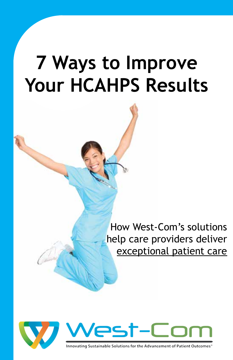# **7 Ways to Improve Your HCAHPS Results**

How West-Com's solutions help care providers deliver exceptional patient care





Innovating Sustainable Solutions for the Advancement of Patient Outcomes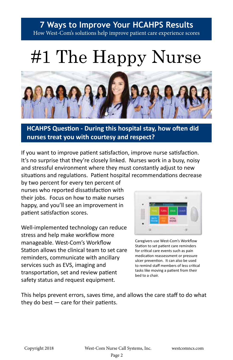# #1 The Happy Nurse



### **HCAHPS Question - During this hospital stay, how often did nurses treat you with courtesy and respect?**

If you want to improve patient satisfaction, improve nurse satisfaction. It's no surprise that they're closely linked. Nurses work in a busy, noisy and stressful environment where they must constantly adjust to new situations and regulations. Patient hospital recommendations decrease

by two percent for every ten percent of nurses who reported dissatisfaction with their jobs. Focus on how to make nurses happy, and you'll see an improvement in patient satisfaction scores.

Well-implemented technology can reduce stress and help make workflow more manageable. West-Com's Workflow Station allows the clinical team to set care reminders, communicate with ancillary services such as EVS, imaging and transportation, set and review patient safety status and request equipment.



Caregivers use West-Com's Workflow Station to set patient care reminders for critical care events such as pain medication reassessment or pressure ulcer prevention. It can also be used to remind staff members of less critical tasks like moving a patient from their bed to a chair.

This helps prevent errors, saves time, and allows the care staff to do what they do best  $-$  care for their patients.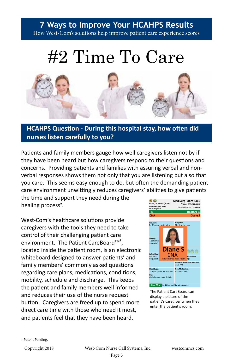### **7 Ways to Improve Your HCAHPS Results**

How West-Com's solutions help improve patient care experience scores

## #2 Time To Care



### **HCAHPS Question - During this hospital stay, how often did nurses listen carefully to you?**

Patients and family members gauge how well caregivers listen not by if they have been heard but how caregivers respond to their questions and concerns. Providing patients and families with assuring verbal and nonverbal responses shows them not only that you are listening but also that you care. This seems easy enough to do, but often the demanding patient care environment unwittingly reduces caregivers' abilities to give patients

the time and support they need during the healing process<sup>2</sup>.

West-Com's healthcare solutions provide caregivers with the tools they need to take control of their challenging patient care environment. The Patient CareBoard™<sup>+</sup>, located inside the patient room, is an electronic whiteboard designed to answer patients' and family members' commonly asked questions regarding care plans, medications, conditions, mobility, schedule and discharge. This keeps the patient and family members well informed and reduces their use of the nurse request button. Caregivers are freed up to spend more direct care time with those who need it most, and patients feel that they have been heard.



The Patient CareBoard can display a picture of the patient's caregiver when they enter the patient's room.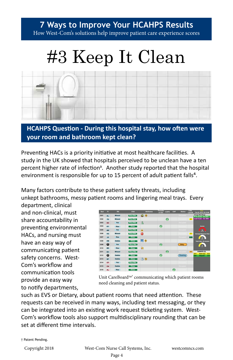# #3 Keep It Clean



**HCAHPS Question - During this hospital stay, how often were your room and bathroom kept clean?**

Preventing HACs is a priority initiative at most healthcare facilities. A study in the UK showed that hospitals perceived to be unclean have a ten percent higher rate of infection<sup>3</sup>. Another study reported that the hospital environment is responsible for up to 15 percent of adult patient falls<sup>4</sup>.

Many factors contribute to these patient safety threats, including unkept bathrooms, messy patient rooms and lingering meal trays. Every

department, clinical and non-clinical, must share accountability in preventing environmental HACs, and nursing must have an easy way of communicating patient safety concerns. West-Com's workflow and communication tools provide an easy way to notify departments,



Unit CareBoard™<sup>†</sup> communicating which patient rooms need cleaning and patient status.

such as EVS or Dietary, about patient rooms that need attention. These requests can be received in many ways, including text messaging, or they can be integrated into an existing work request ticketing system. West-Com's workflow tools also support multidisciplinary rounding that can be set at different time intervals.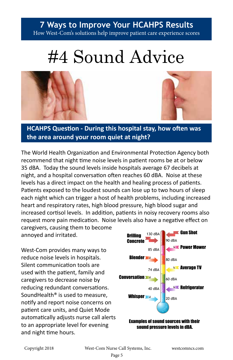# #4 Sound Advice





**HCAHPS Question - During this hospital stay, how often was the area around your room quiet at night?**

The World Health Organization and Environmental Protection Agency both recommend that night time noise levels in patient rooms be at or below 35 dBA. Today the sound levels inside hospitals average 67 decibels at night, and a hospital conversation often reaches 60 dBA. Noise at these levels has a direct impact on the health and healing process of patients. Patients exposed to the loudest sounds can lose up to two hours of sleep each night which can trigger a host of health problems, including increased heart and respiratory rates, high blood pressure, high blood sugar and increased cortisol levels. In addition, patients in noisy recovery rooms also request more pain medication. Noise levels also have a negative effect on

caregivers, causing them to become annoyed and irritated.

West-Com provides many ways to reduce noise levels in hospitals. Silent communication tools are used with the patient, family and caregivers to decrease noise by reducing redundant conversations. SoundHealth® is used to measure, notify and report noise concerns on patient care units, and Quiet Mode automatically adjusts nurse call alerts to an appropriate level for evening and night time hours.



sound pressure levels in dBA.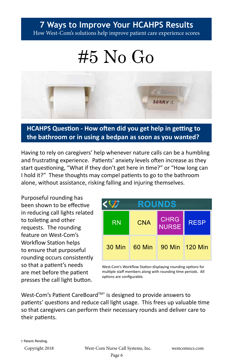## #5 No Go



### **HCAHPS Question - How often did you get help in getting to the bathroom or in using a bedpan as soon as you wanted?**

Having to rely on caregivers' help whenever nature calls can be a humbling and frustrating experience. Patients' anxiety levels often increase as they start questioning, "What if they don't get here in time?" or "How long can I hold it?" These thoughts may compel patients to go to the bathroom alone, without assistance, risking falling and injuring themselves.

Purposeful rounding has been shown to be effective in reducing call lights related to toileting and other requests. The rounding feature on West-Com's Workflow Station helps to ensure that purposeful rounding occurs consistently so that a patient's needs are met before the patient presses the call light button.

| <b>ROUNDS</b> |            |                             |                 |
|---------------|------------|-----------------------------|-----------------|
| <b>RN</b>     | <b>CNA</b> | <b>CHRG</b><br><b>NURSE</b> | <b>RESP</b>     |
| 30 Min        | 60 Min     |                             | 90 Min 1120 Min |

West-Com's Workflow Station displaying rounding options for multiple staff members along with rounding time periods. All options are configurable.

West-Com's Patient CareBoard<sup>™†</sup> is designed to provide answers to patients' questions and reduce call light usage. This frees up valuable time so that caregivers can perform their necessary rounds and deliver care to their patients.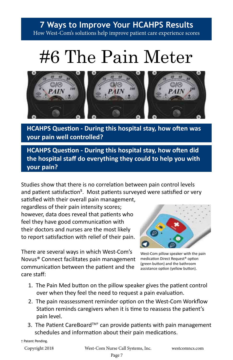# #6 The Pain Meter



**HCAHPS Question - During this hospital stay, how often was your pain well controlled?** 

**HCAHPS Question - During this hospital stay, how often did the hospital staff do everything they could to help you with your pain?**

Studies show that there is no correlation between pain control levels and patient satisfaction<sup>5</sup>. Most patients surveyed were satisfied or very satisfied with their overall pain management,

regardless of their pain intensity scores; however, data does reveal that patients who feel they have good communication with their doctors and nurses are the most likely to report satisfaction with relief of their pain.

There are several ways in which West-Com's Novus® Connect facilitates pain management communication between the patient and the care staff:



West-Com pillow speaker with the pain medication Direct Request® option (green button) and the bathroom assistance option (yellow button).

- 1. The Pain Med button on the pillow speaker gives the patient control over when they feel the need to request a pain evaluation.
- 2. The pain reassessment reminder option on the West-Com Workflow Station reminds caregivers when it is time to reassess the patient's pain level.
- 3. The Patient CareBoard<sup>™†</sup> can provide patients with pain management schedules and information about their pain medications.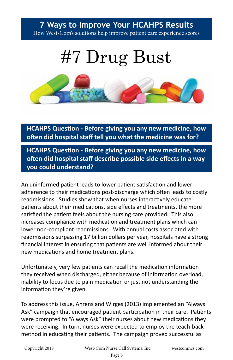## #7 Drug Bust



**HCAHPS Question - Before giving you any new medicine, how often did hospital staff tell you what the medicine was for?**

**HCAHPS Question - Before giving you any new medicine, how often did hospital staff describe possible side effects in a way you could understand?**

An uninformed patient leads to lower patient satisfaction and lower adherence to their medications post-discharge which often leads to costly readmissions. Studies show that when nurses interactively educate patients about their medications, side effects and treatments, the more satisfied the patient feels about the nursing care provided. This also increases compliance with medication and treatment plans which can lower non-compliant readmissions. With annual costs associated with readmissions surpassing 17 billion dollars per year, hospitals have a strong financial interest in ensuring that patients are well informed about their new medications and home treatment plans.

Unfortunately, very few patients can recall the medication information they received when discharged, either because of information overload, inability to focus due to pain medication or just not understanding the information they're given.

To address this issue, Ahrens and Wirges (2013) implemented an "Always Ask" campaign that encouraged patient participation in their care. Patients were prompted to "Always Ask" their nurses about new medications they were receiving. In turn, nurses were expected to employ the teach-back method in educating their patients. The campaign proved successful as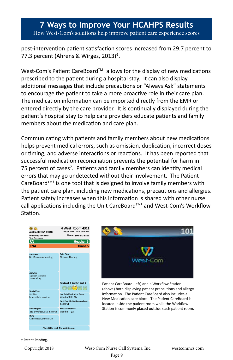post-intervention patient satisfaction scores increased from 29.7 percent to 77.3 percent (Ahrens & Wirges, 2013)<sup>6</sup>.

West-Com's Patient CareBoard™<sup>+</sup> allows for the display of new medications prescribed to the patient during a hospital stay. It can also display additional messages that include precautions or "Always Ask" statements to encourage the patient to take a more proactive role in their care plan. The medication information can be imported directly from the EMR or entered directly by the care provider. It is continually displayed during the patient's hospital stay to help care providers educate patients and family members about the medication and care plan.

Communicating with patients and family members about new medications helps prevent medical errors, such as omission, duplication, incorrect doses or timing, and adverse interactions or reactions. It has been reported that successful medication reconciliation prevents the potential for harm in 75 percent of cases<sup>7</sup>. Patients and family members can identify medical errors that may go undetected without their involvement. The Patient CareBoard<sup>TM+</sup> is one tool that is designed to involve family members with the patient care plan, including new medications, precautions and allergies. Patient safety increases when this information is shared with other nurse call applications including the Unit CareBoard™<sup>+</sup> and West-Com's Workflow Station.

**Providers:** Daily Plan:<br>
Dr. Morrow-Attending Physical Therapy **Ac�vity: Pain Level: 4 Comfort Goal: 2 Safety Pl Blood Sugar:** 219 @ 06/13/2016 4:34 PM Vicodin - **Last Pain Me Diet:**  Carbohydrate Controlled Diet **New Medications:**<br>Vicodin - Pain **Next Pain Medica�on Available:** 1:00 PM **- The skill to heal. The spirit to care. - RN CNA Heather B Diane S ALLEN, RONNY (RON) Welcome to 4 West** Your Caregivers: **Tue Jun 14th 2016 9:54 PM 800-247-6811 Phone: 4 West Room 4311** Fall Risk 1 person assistance Favors left leg Vicodin 9:00 AM Request help to get up



Patient CareBoard (left) and a Workflow Station (above) both displaying patient precautions and allergy information. The Patient CareBoard also includes a New Medication care block. The Patient CareBoard is located inside the patient room while the Workflow Station is commonly placed outside each patient room.